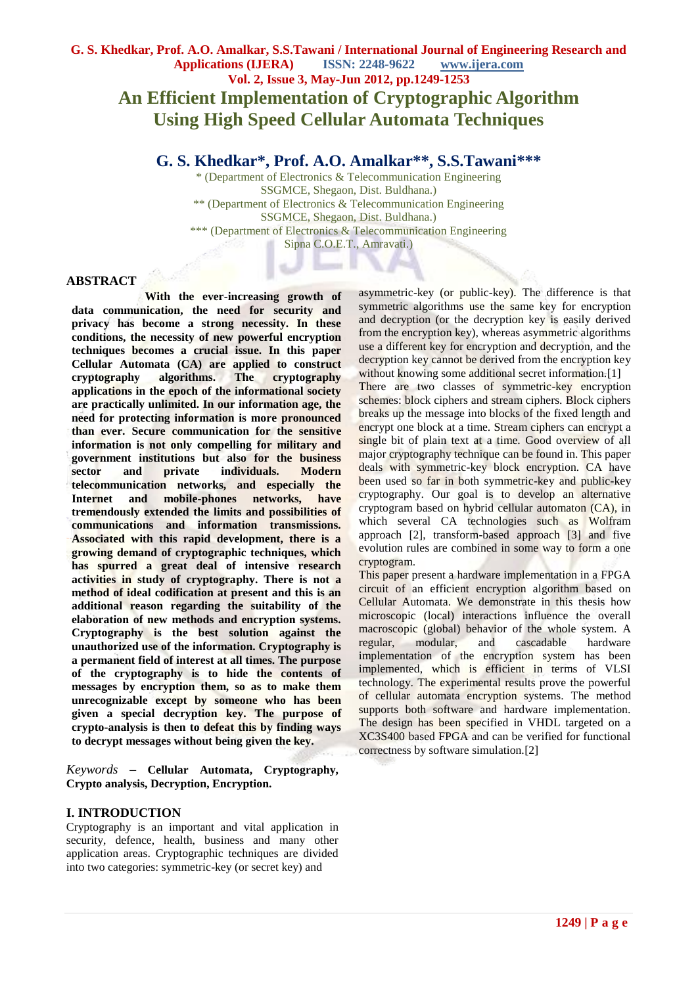# **An Efficient Implementation of Cryptographic Algorithm Using High Speed Cellular Automata Techniques**

## **G. S. Khedkar\*, Prof. A.O. Amalkar\*\*, S.S.Tawani\*\*\***

\* (Department of Electronics & Telecommunication Engineering SSGMCE, Shegaon, Dist. Buldhana.) \*\* (Department of Electronics & Telecommunication Engineering SSGMCE, Shegaon, Dist. Buldhana.) \*\*\* (Department of Electronics & Telecommunication Engineering Sipna C.O.E.T., Amravati.)

#### **ABSTRACT**

 **With the ever-increasing growth of data communication, the need for security and privacy has become a strong necessity. In these conditions, the necessity of new powerful encryption techniques becomes a crucial issue. In this paper Cellular Automata (CA) are applied to construct cryptography algorithms. The cryptography applications in the epoch of the informational society are practically unlimited. In our information age, the need for protecting information is more pronounced than ever. Secure communication for the sensitive information is not only compelling for military and government institutions but also for the business sector and private individuals. Modern telecommunication networks, and especially the Internet and mobile-phones networks, have tremendously extended the limits and possibilities of communications and information transmissions. Associated with this rapid development, there is a growing demand of cryptographic techniques, which has spurred a great deal of intensive research activities in study of cryptography. There is not a method of ideal codification at present and this is an additional reason regarding the suitability of the elaboration of new methods and encryption systems. Cryptography is the best solution against the unauthorized use of the information. Cryptography is a permanent field of interest at all times. The purpose of the cryptography is to hide the contents of messages by encryption them, so as to make them unrecognizable except by someone who has been given a special decryption key. The purpose of crypto-analysis is then to defeat this by finding ways to decrypt messages without being given the key.** 

*Keywords* **– Cellular Automata, Cryptography, Crypto analysis, Decryption, Encryption.**

#### **I. INTRODUCTION**

Cryptography is an important and vital application in security, defence, health, business and many other application areas. Cryptographic techniques are divided into two categories: symmetric-key (or secret key) and

asymmetric-key (or public-key). The difference is that symmetric algorithms use the same key for encryption and decryption (or the decryption key is easily derived from the encryption key), whereas asymmetric algorithms use a different key for encryption and decryption, and the decryption key cannot be derived from the encryption key without knowing some additional secret information.<sup>[1]</sup>

There are two classes of symmetric-key encryption schemes: block ciphers and stream ciphers. Block ciphers breaks up the message into blocks of the fixed length and encrypt one block at a time. Stream ciphers can encrypt a single bit of plain text at a time. Good overview of all major cryptography technique can be found in. This paper deals with symmetric-key block encryption. CA have been used so far in both symmetric-key and public-key cryptography. Our goal is to develop an alternative cryptogram based on hybrid cellular automaton (CA), in which several CA technologies such as Wolfram approach [2], transform-based approach [3] and five evolution rules are combined in some way to form a one cryptogram.

This paper present a hardware implementation in a FPGA circuit of an efficient encryption algorithm based on Cellular Automata. We demonstrate in this thesis how microscopic (local) interactions influence the overall macroscopic (global) behavior of the whole system. A regular, modular, and cascadable hardware implementation of the encryption system has been implemented, which is efficient in terms of VLSI technology. The experimental results prove the powerful of cellular automata encryption systems. The method supports both software and hardware implementation. The design has been specified in VHDL targeted on a XC3S400 based FPGA and can be verified for functional correctness by software simulation.[2]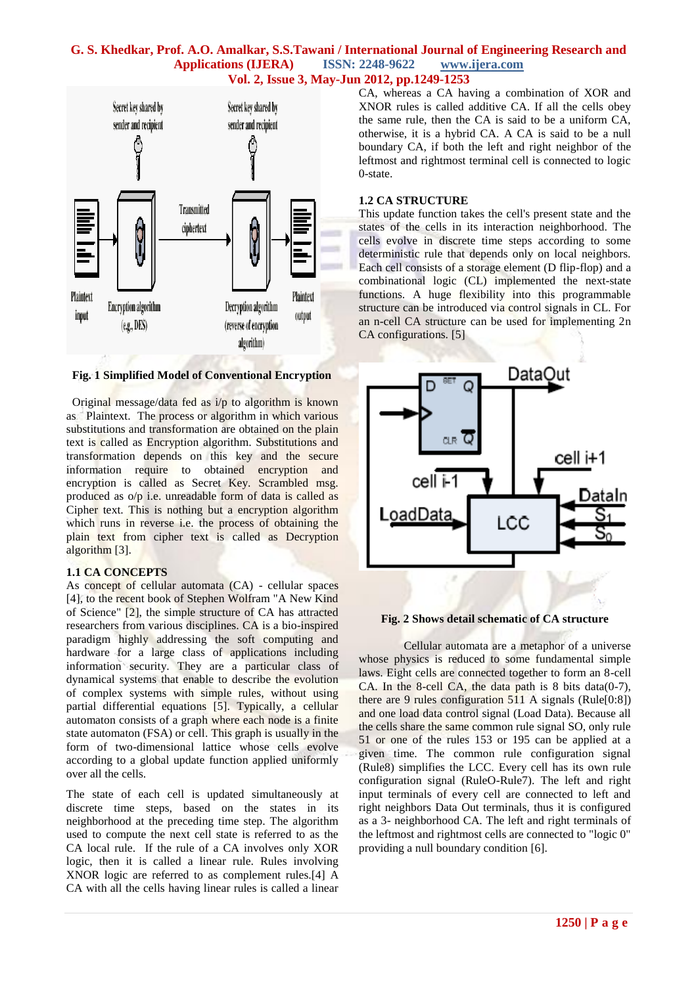

 **Fig. 1 Simplified Model of Conventional Encryption**

 Original message/data fed as i/p to algorithm is known as Plaintext. The process or algorithm in which various substitutions and transformation are obtained on the plain text is called as Encryption algorithm. Substitutions and transformation depends on this key and the secure information require to obtained encryption and encryption is called as Secret Key. Scrambled msg. produced as o/p i.e. unreadable form of data is called as Cipher text. This is nothing but a encryption algorithm which runs in reverse i.e. the process of obtaining the plain text from cipher text is called as Decryption algorithm [3].

### **1.1 CA CONCEPTS**

As concept of cellular automata (CA) - cellular spaces [4], to the recent book of Stephen Wolfram "A New Kind of Science" [2], the simple structure of CA has attracted researchers from various disciplines. CA is a bio-inspired paradigm highly addressing the soft computing and hardware for a large class of applications including information security. They are a particular class of dynamical systems that enable to describe the evolution of complex systems with simple rules, without using partial differential equations [5]. Typically, a cellular automaton consists of a graph where each node is a finite state automaton (FSA) or cell. This graph is usually in the form of two-dimensional lattice whose cells evolve according to a global update function applied uniformly over all the cells.

The state of each cell is updated simultaneously at discrete time steps, based on the states in its neighborhood at the preceding time step. The algorithm used to compute the next cell state is referred to as the CA local rule. If the rule of a CA involves only XOR logic, then it is called a linear rule. Rules involving XNOR logic are referred to as complement rules.[4] A CA with all the cells having linear rules is called a linear CA, whereas a CA having a combination of XOR and XNOR rules is called additive CA. If all the cells obey the same rule, then the CA is said to be a uniform CA, otherwise, it is a hybrid CA. A CA is said to be a null boundary CA, if both the left and right neighbor of the leftmost and rightmost terminal cell is connected to logic 0-state.

#### **1.2 CA STRUCTURE**

This update function takes the cell's present state and the states of the cells in its interaction neighborhood. The cells evolve in discrete time steps according to some deterministic rule that depends only on local neighbors. Each cell consists of a storage element (D flip-flop) and a combinational logic (CL) implemented the next-state functions. A huge flexibility into this programmable structure can be introduced via control signals in CL. For an n-cell CA structure can be used for implementing 2n CA configurations. [5]



**Fig. 2 Shows detail schematic of CA structure**

Cellular automata are a metaphor of a universe whose physics is reduced to some fundamental simple laws. Eight cells are connected together to form an 8-cell CA. In the 8-cell CA, the data path is 8 bits data( $0-7$ ), there are 9 rules configuration  $511$  A signals (Rule[0:8]) and one load data control signal (Load Data). Because all the cells share the same common rule signal SO, only rule 51 or one of the rules 153 or 195 can be applied at a given time. The common rule configuration signal (Rule8) simplifies the LCC. Every cell has its own rule configuration signal (RuleO-Rule7). The left and right input terminals of every cell are connected to left and right neighbors Data Out terminals, thus it is configured as a 3- neighborhood CA. The left and right terminals of the leftmost and rightmost cells are connected to "logic 0" providing a null boundary condition [6].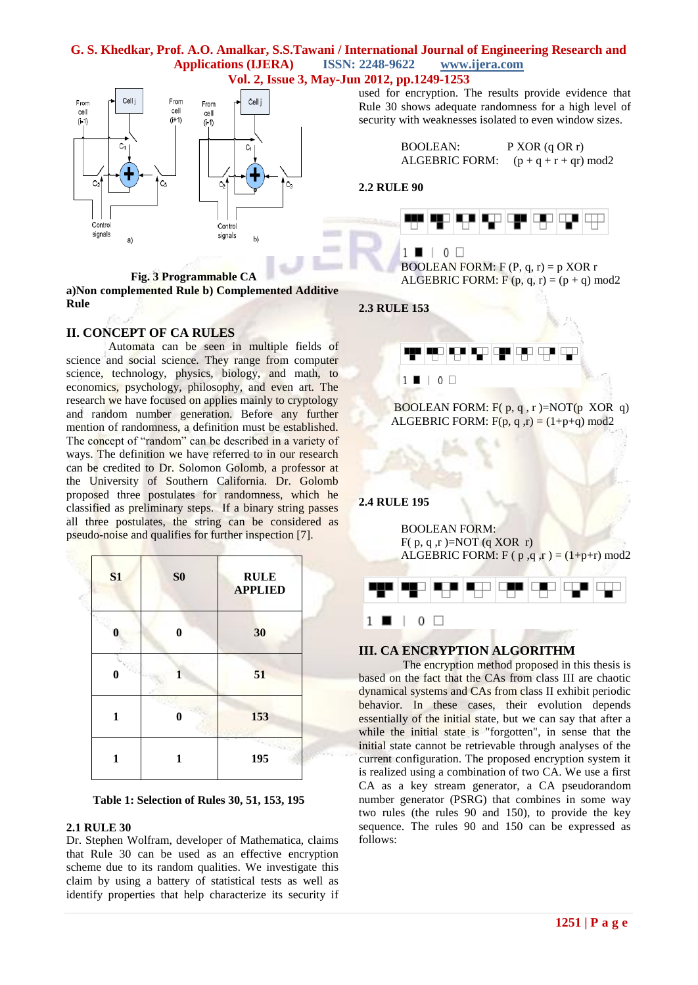

 **Fig. 3 Programmable CA** 

**a)Non complemented Rule b) Complemented Additive Rule**

### **II. CONCEPT OF CA RULES**

Automata can be seen in multiple fields of science and social science. They range from computer science, technology, physics, biology, and math, to economics, psychology, philosophy, and even art. The research we have focused on applies mainly to cryptology and random number generation. Before any further mention of randomness, a definition must be established. The concept of "random" can be described in a variety of ways. The definition we have referred to in our research can be credited to Dr. Solomon Golomb, a professor at the University of Southern California. Dr. Golomb proposed three postulates for randomness, which he classified as preliminary steps. If a binary string passes all three postulates, the string can be considered as pseudo-noise and qualifies for further inspection [7].



 **Table 1: Selection of Rules 30, 51, 153, 195**

#### **2.1 RULE 30**

Dr. Stephen Wolfram, developer of Mathematica, claims that Rule 30 can be used as an effective encryption scheme due to its random qualities. We investigate this claim by using a battery of statistical tests as well as identify properties that help characterize its security if used for encryption. The results provide evidence that Rule 30 shows adequate randomness for a high level of security with weaknesses isolated to even window sizes.

| <b>BOOLEAN:</b> | P XOR (q OR r)      |
|-----------------|---------------------|
| ALGEBRIC FORM:  | $(p+q+r+qr) \mod 2$ |

#### **2.2 RULE 90**



 $1 \bullet 1$  $0$   $\Box$ BOOLEAN FORM:  $F(P, q, r) = p XOR r$ ALGEBRIC FORM:  $F(p, q, r) = (p + q) \text{ mod } 2$ 

#### **2.3 RULE 153**



BOOLEAN FORM:  $F(p, q, r) = NOT(p XOR q)$ ALGEBRIC FORM:  $F(p, q, r) = (1+p+q) \text{ mod } 2$ 

#### **2.4 RULE 195**

BOOLEAN FORM:  $F(p, q, r) = NOT(q XOR r)$ ALGEBRIC FORM:  $F(p, q, r) = (1+p+r) \text{ mod } 2$ 



### $1 \blacksquare$  | 0  $\Box$

### **III. CA ENCRYPTION ALGORITHM**

 The encryption method proposed in this thesis is based on the fact that the CAs from class III are chaotic dynamical systems and CAs from class II exhibit periodic behavior. In these cases, their evolution depends essentially of the initial state, but we can say that after a while the initial state is "forgotten", in sense that the initial state cannot be retrievable through analyses of the current configuration. The proposed encryption system it is realized using a combination of two CA. We use a first CA as a key stream generator, a CA pseudorandom number generator (PSRG) that combines in some way two rules (the rules 90 and 150), to provide the key sequence. The rules 90 and 150 can be expressed as follows: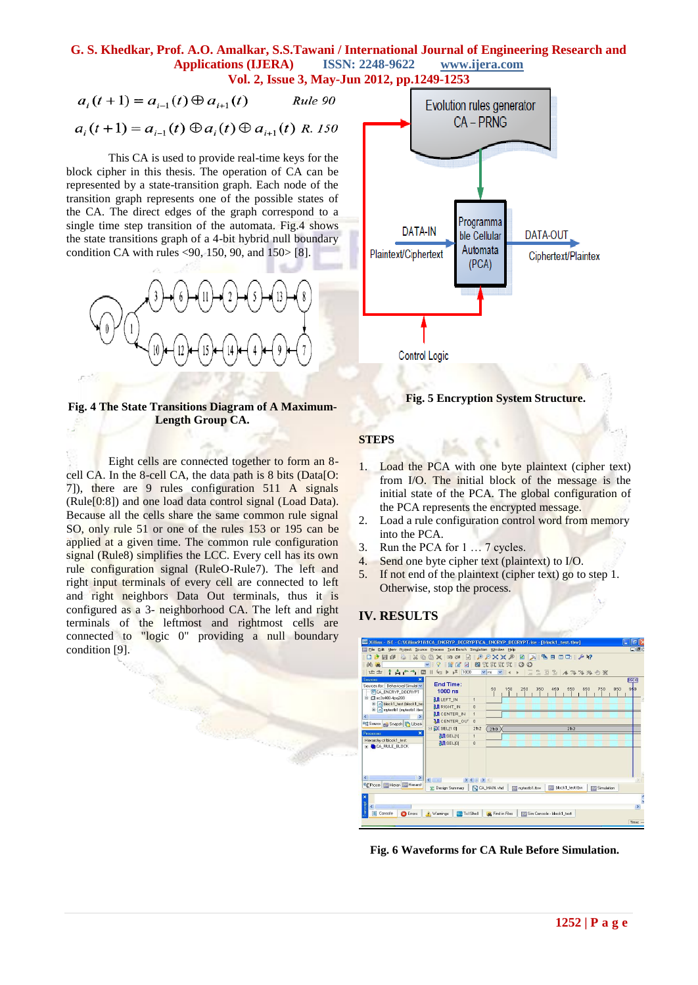$$
a_i(t+1) = a_{i-1}(t) \oplus a_{i+1}(t)
$$
 *Rule 90*

$$
a_i(t+1) = a_{i-1}(t) \oplus a_i(t) \oplus a_{i+1}(t) \text{ R. 150}
$$

This CA is used to provide real-time keys for the block cipher in this thesis. The operation of CA can be represented by a state-transition graph. Each node of the transition graph represents one of the possible states of the CA. The direct edges of the graph correspond to a single time step transition of the automata. Fig.4 shows the state transitions graph of a 4-bit hybrid null boundary condition CA with rules <90, 150, 90, and 150> [8].



**Fig. 4 The State Transitions Diagram of A Maximum-Length Group CA.**

Eight cells are connected together to form an 8 cell CA. In the 8-cell CA, the data path is 8 bits (Data[O: 7]), there are 9 rules configuration 511 A signals (Rule[0:8]) and one load data control signal (Load Data). Because all the cells share the same common rule signal SO, only rule 51 or one of the rules 153 or 195 can be applied at a given time. The common rule configuration signal (Rule8) simplifies the LCC. Every cell has its own rule configuration signal (RuleO-Rule7). The left and right input terminals of every cell are connected to left and right neighbors Data Out terminals, thus it is configured as a 3- neighborhood CA. The left and right terminals of the leftmost and rightmost cells are connected to "logic 0" providing a null boundary condition [9].





## **STEPS**

- 1. Load the PCA with one byte plaintext (cipher text) from I/O. The initial block of the message is the initial state of the PCA. The global configuration of the PCA represents the encrypted message.
- 2. Load a rule configuration control word from memory into the PCA.
- 3. Run the PCA for 1 … 7 cycles.
- 4. Send one byte cipher text (plaintext) to I/O.
- 5. If not end of the plaintext (cipher text) go to step 1. Otherwise, stop the process.

### **IV. RESULTS**



**Fig. 6 Waveforms for CA Rule Before Simulation.**